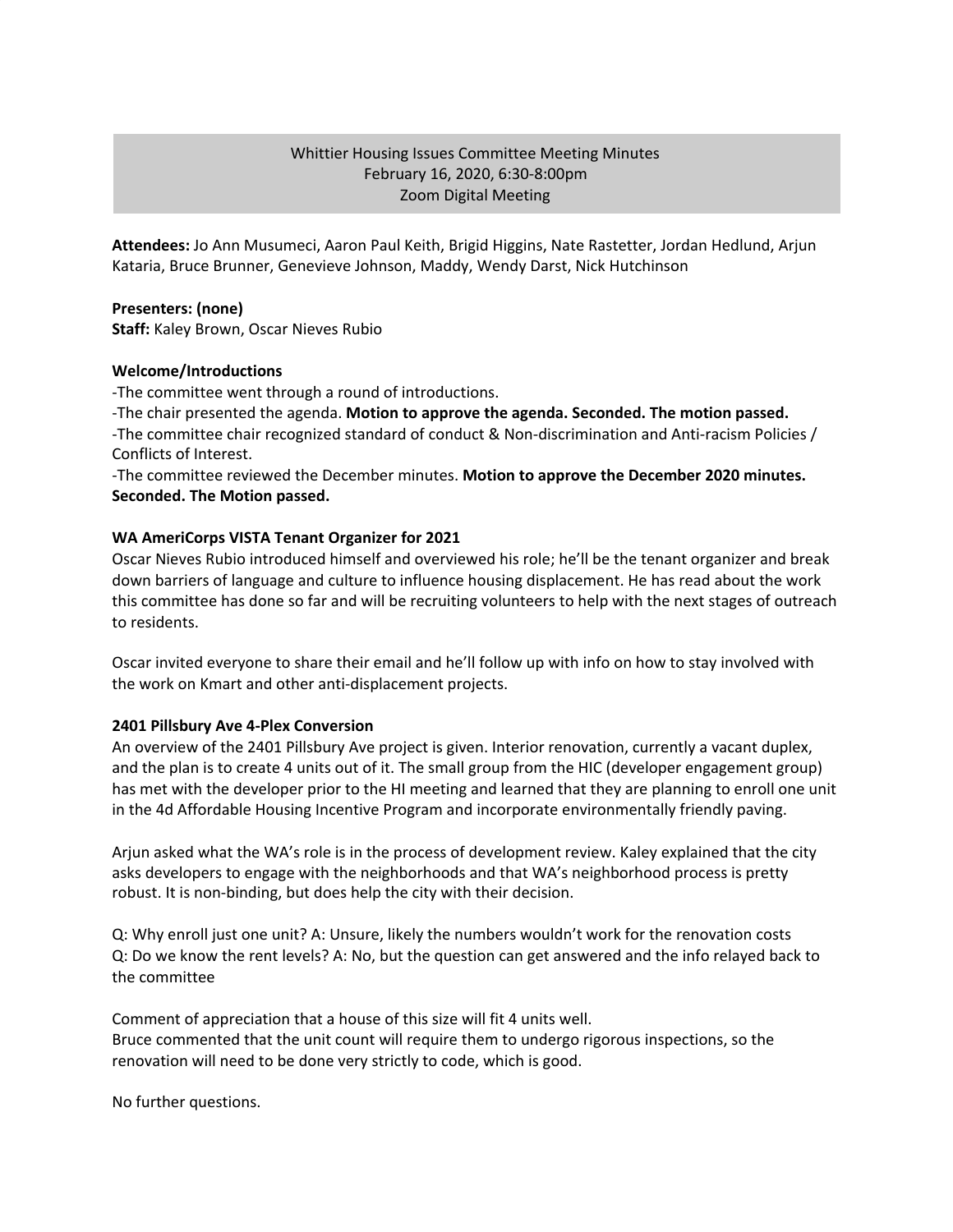# Whittier Housing Issues Committee Meeting Minutes February 16, 2020, 6:30-8:00pm Zoom Digital Meeting

**Attendees:** Jo Ann Musumeci, Aaron Paul Keith, Brigid Higgins, Nate Rastetter, Jordan Hedlund, Arjun Kataria, Bruce Brunner, Genevieve Johnson, Maddy, Wendy Darst, Nick Hutchinson

## **Presenters: (none)**

**Staff:** Kaley Brown, Oscar Nieves Rubio

## **Welcome/Introductions**

-The committee went through a round of introductions.

-The chair presented the agenda. **Motion to approve the agenda. Seconded. The motion passed.** -The committee chair recognized standard of conduct & Non-discrimination and Anti-racism Policies / Conflicts of Interest.

-The committee reviewed the December minutes. **Motion to approve the December 2020 minutes. Seconded. The Motion passed.**

## **WA AmeriCorps VISTA Tenant Organizer for 2021**

Oscar Nieves Rubio introduced himself and overviewed his role; he'll be the tenant organizer and break down barriers of language and culture to influence housing displacement. He has read about the work this committee has done so far and will be recruiting volunteers to help with the next stages of outreach to residents.

Oscar invited everyone to share their email and he'll follow up with info on how to stay involved with the work on Kmart and other anti-displacement projects.

#### **2401 Pillsbury Ave 4-Plex Conversion**

An overview of the 2401 Pillsbury Ave project is given. Interior renovation, currently a vacant duplex, and the plan is to create 4 units out of it. The small group from the HIC (developer engagement group) has met with the developer prior to the HI meeting and learned that they are planning to enroll one unit in the 4d Affordable Housing Incentive Program and incorporate environmentally friendly paving.

Arjun asked what the WA's role is in the process of development review. Kaley explained that the city asks developers to engage with the neighborhoods and that WA's neighborhood process is pretty robust. It is non-binding, but does help the city with their decision.

Q: Why enroll just one unit? A: Unsure, likely the numbers wouldn't work for the renovation costs Q: Do we know the rent levels? A: No, but the question can get answered and the info relayed back to the committee

Comment of appreciation that a house of this size will fit 4 units well. Bruce commented that the unit count will require them to undergo rigorous inspections, so the renovation will need to be done very strictly to code, which is good.

No further questions.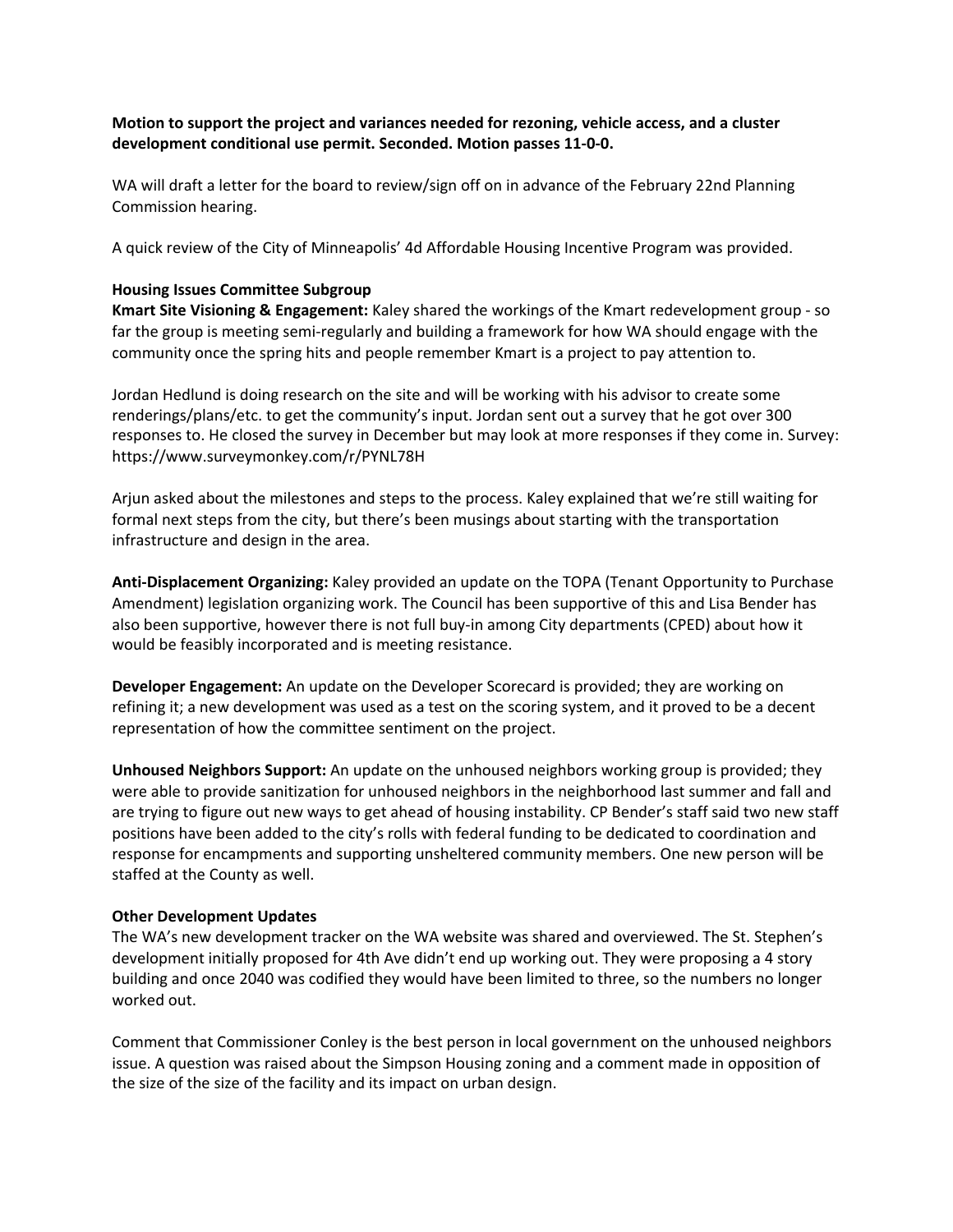**Motion to support the project and variances needed for rezoning, vehicle access, and a cluster development conditional use permit. Seconded. Motion passes 11-0-0.**

WA will draft a letter for the board to review/sign off on in advance of the February 22nd Planning Commission hearing.

A quick review of the City of Minneapolis' 4d Affordable Housing Incentive Program was provided.

### **Housing Issues Committee Subgroup**

**Kmart Site Visioning & Engagement:** Kaley shared the workings of the Kmart redevelopment group - so far the group is meeting semi-regularly and building a framework for how WA should engage with the community once the spring hits and people remember Kmart is a project to pay attention to.

Jordan Hedlund is doing research on the site and will be working with his advisor to create some renderings/plans/etc. to get the community's input. Jordan sent out a survey that he got over 300 responses to. He closed the survey in December but may look at more responses if they come in. Survey: https://www.surveymonkey.com/r/PYNL78H

Arjun asked about the milestones and steps to the process. Kaley explained that we're still waiting for formal next steps from the city, but there's been musings about starting with the transportation infrastructure and design in the area.

**Anti-Displacement Organizing:** Kaley provided an update on the TOPA (Tenant Opportunity to Purchase Amendment) legislation organizing work. The Council has been supportive of this and Lisa Bender has also been supportive, however there is not full buy-in among City departments (CPED) about how it would be feasibly incorporated and is meeting resistance.

**Developer Engagement:** An update on the Developer Scorecard is provided; they are working on refining it; a new development was used as a test on the scoring system, and it proved to be a decent representation of how the committee sentiment on the project.

**Unhoused Neighbors Support:** An update on the unhoused neighbors working group is provided; they were able to provide sanitization for unhoused neighbors in the neighborhood last summer and fall and are trying to figure out new ways to get ahead of housing instability. CP Bender's staff said two new staff positions have been added to the city's rolls with federal funding to be dedicated to coordination and response for encampments and supporting unsheltered community members. One new person will be staffed at the County as well.

#### **Other Development Updates**

The WA's new development tracker on the WA website was shared and overviewed. The St. Stephen's development initially proposed for 4th Ave didn't end up working out. They were proposing a 4 story building and once 2040 was codified they would have been limited to three, so the numbers no longer worked out.

Comment that Commissioner Conley is the best person in local government on the unhoused neighbors issue. A question was raised about the Simpson Housing zoning and a comment made in opposition of the size of the size of the facility and its impact on urban design.